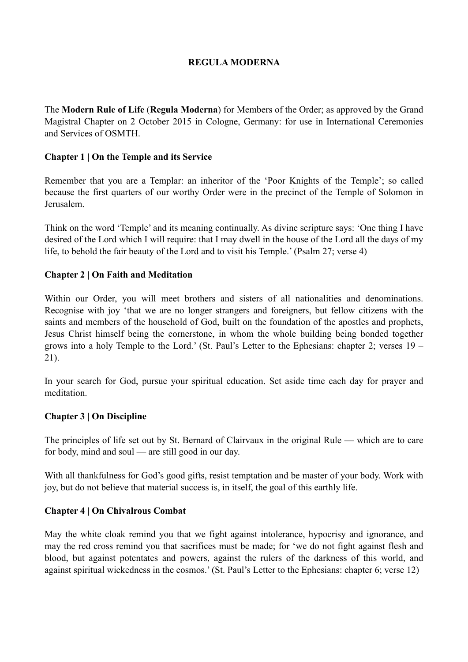## **REGULA MODERNA**

The **Modern Rule of Life** (**Regula Moderna**) for Members of the Order; as approved by the Grand Magistral Chapter on 2 October 2015 in Cologne, Germany: for use in International Ceremonies and Services of OSMTH.

## **Chapter 1 | On the Temple and its Service**

Remember that you are a Templar: an inheritor of the 'Poor Knights of the Temple'; so called because the first quarters of our worthy Order were in the precinct of the Temple of Solomon in Jerusalem.

Think on the word 'Temple' and its meaning continually. As divine scripture says: 'One thing I have desired of the Lord which I will require: that I may dwell in the house of the Lord all the days of my life, to behold the fair beauty of the Lord and to visit his Temple.' (Psalm 27; verse 4)

## **Chapter 2 | On Faith and Meditation**

Within our Order, you will meet brothers and sisters of all nationalities and denominations. Recognise with joy 'that we are no longer strangers and foreigners, but fellow citizens with the saints and members of the household of God, built on the foundation of the apostles and prophets, Jesus Christ himself being the cornerstone, in whom the whole building being bonded together grows into a holy Temple to the Lord.' (St. Paul's Letter to the Ephesians: chapter 2; verses 19 – 21).

In your search for God, pursue your spiritual education. Set aside time each day for prayer and meditation.

#### **Chapter 3 | On Discipline**

The principles of life set out by St. Bernard of Clairvaux in the original Rule — which are to care for body, mind and soul — are still good in our day.

With all thankfulness for God's good gifts, resist temptation and be master of your body. Work with joy, but do not believe that material success is, in itself, the goal of this earthly life.

#### **Chapter 4 | On Chivalrous Combat**

May the white cloak remind you that we fight against intolerance, hypocrisy and ignorance, and may the red cross remind you that sacrifices must be made; for 'we do not fight against flesh and blood, but against potentates and powers, against the rulers of the darkness of this world, and against spiritual wickedness in the cosmos.' (St. Paul's Letter to the Ephesians: chapter 6; verse 12)